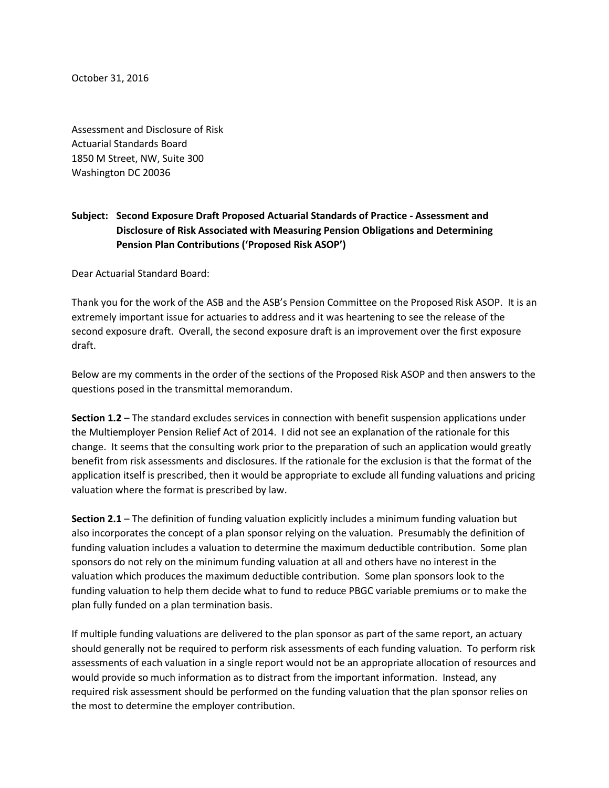October 31, 2016

Assessment and Disclosure of Risk Actuarial Standards Board 1850 M Street, NW, Suite 300 Washington DC 20036

## **Subject: Second Exposure Draft Proposed Actuarial Standards of Practice - Assessment and Disclosure of Risk Associated with Measuring Pension Obligations and Determining Pension Plan Contributions ('Proposed Risk ASOP')**

Dear Actuarial Standard Board:

Thank you for the work of the ASB and the ASB's Pension Committee on the Proposed Risk ASOP. It is an extremely important issue for actuaries to address and it was heartening to see the release of the second exposure draft. Overall, the second exposure draft is an improvement over the first exposure draft.

Below are my comments in the order of the sections of the Proposed Risk ASOP and then answers to the questions posed in the transmittal memorandum.

**Section 1.2** – The standard excludes services in connection with benefit suspension applications under the Multiemployer Pension Relief Act of 2014. I did not see an explanation of the rationale for this change. It seems that the consulting work prior to the preparation of such an application would greatly benefit from risk assessments and disclosures. If the rationale for the exclusion is that the format of the application itself is prescribed, then it would be appropriate to exclude all funding valuations and pricing valuation where the format is prescribed by law.

**Section 2.1** – The definition of funding valuation explicitly includes a minimum funding valuation but also incorporates the concept of a plan sponsor relying on the valuation. Presumably the definition of funding valuation includes a valuation to determine the maximum deductible contribution. Some plan sponsors do not rely on the minimum funding valuation at all and others have no interest in the valuation which produces the maximum deductible contribution. Some plan sponsors look to the funding valuation to help them decide what to fund to reduce PBGC variable premiums or to make the plan fully funded on a plan termination basis.

If multiple funding valuations are delivered to the plan sponsor as part of the same report, an actuary should generally not be required to perform risk assessments of each funding valuation. To perform risk assessments of each valuation in a single report would not be an appropriate allocation of resources and would provide so much information as to distract from the important information. Instead, any required risk assessment should be performed on the funding valuation that the plan sponsor relies on the most to determine the employer contribution.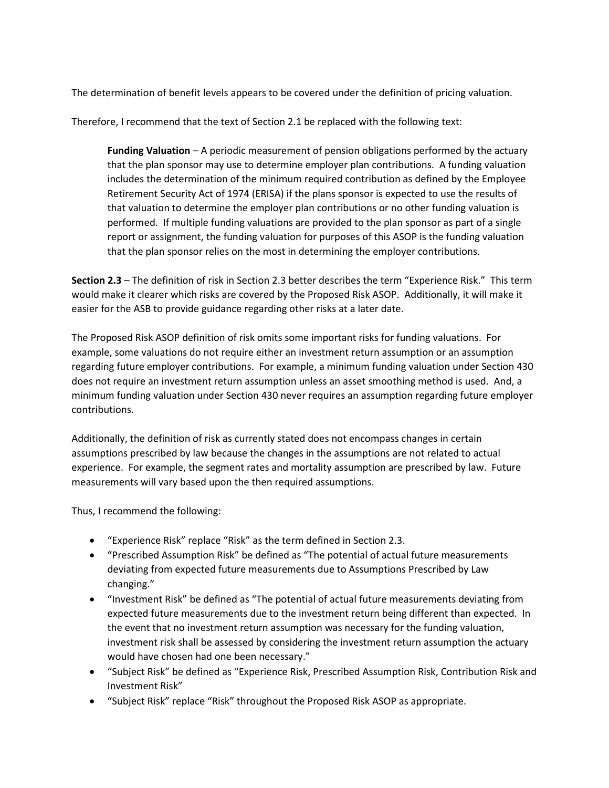The determination of benefit levels appears to be covered under the definition of pricing valuation.

Therefore, I recommend that the text of Section 2.1 be replaced with the following text:

**Funding Valuation** – A periodic measurement of pension obligations performed by the actuary that the plan sponsor may use to determine employer plan contributions. A funding valuation includes the determination of the minimum required contribution as defined by the Employee Retirement Security Act of 1974 (ERISA) if the plans sponsor is expected to use the results of that valuation to determine the employer plan contributions or no other funding valuation is performed. If multiple funding valuations are provided to the plan sponsor as part of a single report or assignment, the funding valuation for purposes of this ASOP is the funding valuation that the plan sponsor relies on the most in determining the employer contributions.

**Section 2.3** – The definition of risk in Section 2.3 better describes the term "Experience Risk." This term would make it clearer which risks are covered by the Proposed Risk ASOP. Additionally, it will make it easier for the ASB to provide guidance regarding other risks at a later date.

The Proposed Risk ASOP definition of risk omits some important risks for funding valuations. For example, some valuations do not require either an investment return assumption or an assumption regarding future employer contributions. For example, a minimum funding valuation under Section 430 does not require an investment return assumption unless an asset smoothing method is used. And, a minimum funding valuation under Section 430 never requires an assumption regarding future employer contributions.

Additionally, the definition of risk as currently stated does not encompass changes in certain assumptions prescribed by law because the changes in the assumptions are not related to actual experience. For example, the segment rates and mortality assumption are prescribed by law. Future measurements will vary based upon the then required assumptions.

Thus, I recommend the following:

- "Experience Risk" replace "Risk" as the term defined in Section 2.3.
- "Prescribed Assumption Risk" be defined as "The potential of actual future measurements deviating from expected future measurements due to Assumptions Prescribed by Law changing."
- "Investment Risk" be defined as "The potential of actual future measurements deviating from expected future measurements due to the investment return being different than expected. In the event that no investment return assumption was necessary for the funding valuation, investment risk shall be assessed by considering the investment return assumption the actuary would have chosen had one been necessary."
- "Subject Risk" be defined as "Experience Risk, Prescribed Assumption Risk, Contribution Risk and Investment Risk"
- "Subject Risk" replace "Risk" throughout the Proposed Risk ASOP as appropriate.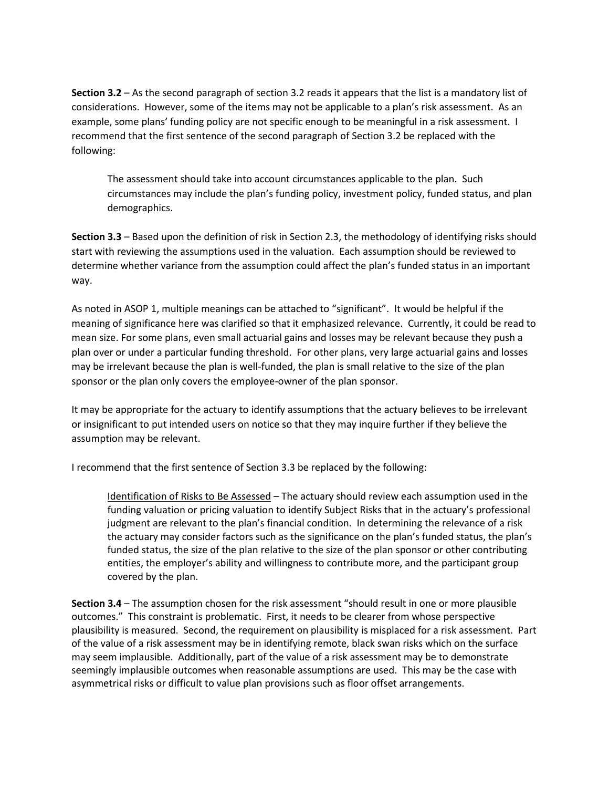**Section 3.2** – As the second paragraph of section 3.2 reads it appears that the list is a mandatory list of considerations. However, some of the items may not be applicable to a plan's risk assessment. As an example, some plans' funding policy are not specific enough to be meaningful in a risk assessment. I recommend that the first sentence of the second paragraph of Section 3.2 be replaced with the following:

The assessment should take into account circumstances applicable to the plan. Such circumstances may include the plan's funding policy, investment policy, funded status, and plan demographics.

**Section 3.3** – Based upon the definition of risk in Section 2.3, the methodology of identifying risks should start with reviewing the assumptions used in the valuation. Each assumption should be reviewed to determine whether variance from the assumption could affect the plan's funded status in an important way.

As noted in ASOP 1, multiple meanings can be attached to "significant". It would be helpful if the meaning of significance here was clarified so that it emphasized relevance. Currently, it could be read to mean size. For some plans, even small actuarial gains and losses may be relevant because they push a plan over or under a particular funding threshold. For other plans, very large actuarial gains and losses may be irrelevant because the plan is well-funded, the plan is small relative to the size of the plan sponsor or the plan only covers the employee-owner of the plan sponsor.

It may be appropriate for the actuary to identify assumptions that the actuary believes to be irrelevant or insignificant to put intended users on notice so that they may inquire further if they believe the assumption may be relevant.

I recommend that the first sentence of Section 3.3 be replaced by the following:

Identification of Risks to Be Assessed – The actuary should review each assumption used in the funding valuation or pricing valuation to identify Subject Risks that in the actuary's professional judgment are relevant to the plan's financial condition. In determining the relevance of a risk the actuary may consider factors such as the significance on the plan's funded status, the plan's funded status, the size of the plan relative to the size of the plan sponsor or other contributing entities, the employer's ability and willingness to contribute more, and the participant group covered by the plan.

**Section 3.4** – The assumption chosen for the risk assessment "should result in one or more plausible outcomes." This constraint is problematic. First, it needs to be clearer from whose perspective plausibility is measured. Second, the requirement on plausibility is misplaced for a risk assessment. Part of the value of a risk assessment may be in identifying remote, black swan risks which on the surface may seem implausible. Additionally, part of the value of a risk assessment may be to demonstrate seemingly implausible outcomes when reasonable assumptions are used. This may be the case with asymmetrical risks or difficult to value plan provisions such as floor offset arrangements.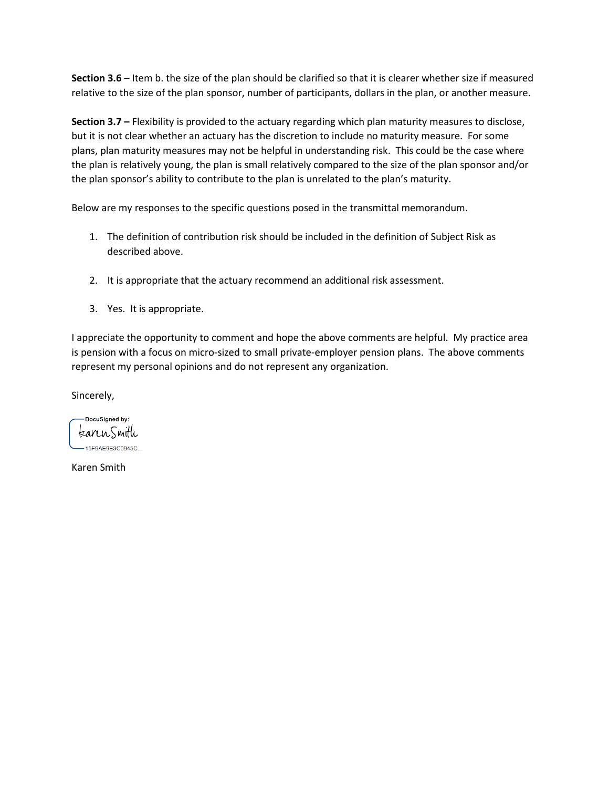**Section 3.6** – Item b. the size of the plan should be clarified so that it is clearer whether size if measured relative to the size of the plan sponsor, number of participants, dollars in the plan, or another measure.

**Section 3.7 –** Flexibility is provided to the actuary regarding which plan maturity measures to disclose, but it is not clear whether an actuary has the discretion to include no maturity measure. For some plans, plan maturity measures may not be helpful in understanding risk. This could be the case where the plan is relatively young, the plan is small relatively compared to the size of the plan sponsor and/or the plan sponsor's ability to contribute to the plan is unrelated to the plan's maturity.

Below are my responses to the specific questions posed in the transmittal memorandum.

- 1. The definition of contribution risk should be included in the definition of Subject Risk as described above.
- 2. It is appropriate that the actuary recommend an additional risk assessment.
- 3. Yes. It is appropriate.

I appreciate the opportunity to comment and hope the above comments are helpful. My practice area is pension with a focus on micro-sized to small private-employer pension plans. The above comments represent my personal opinions and do not represent any organization.

Sincerely,

-DocuSianed by: karen5mith 15F9AE9E3C0945C..

Karen Smith